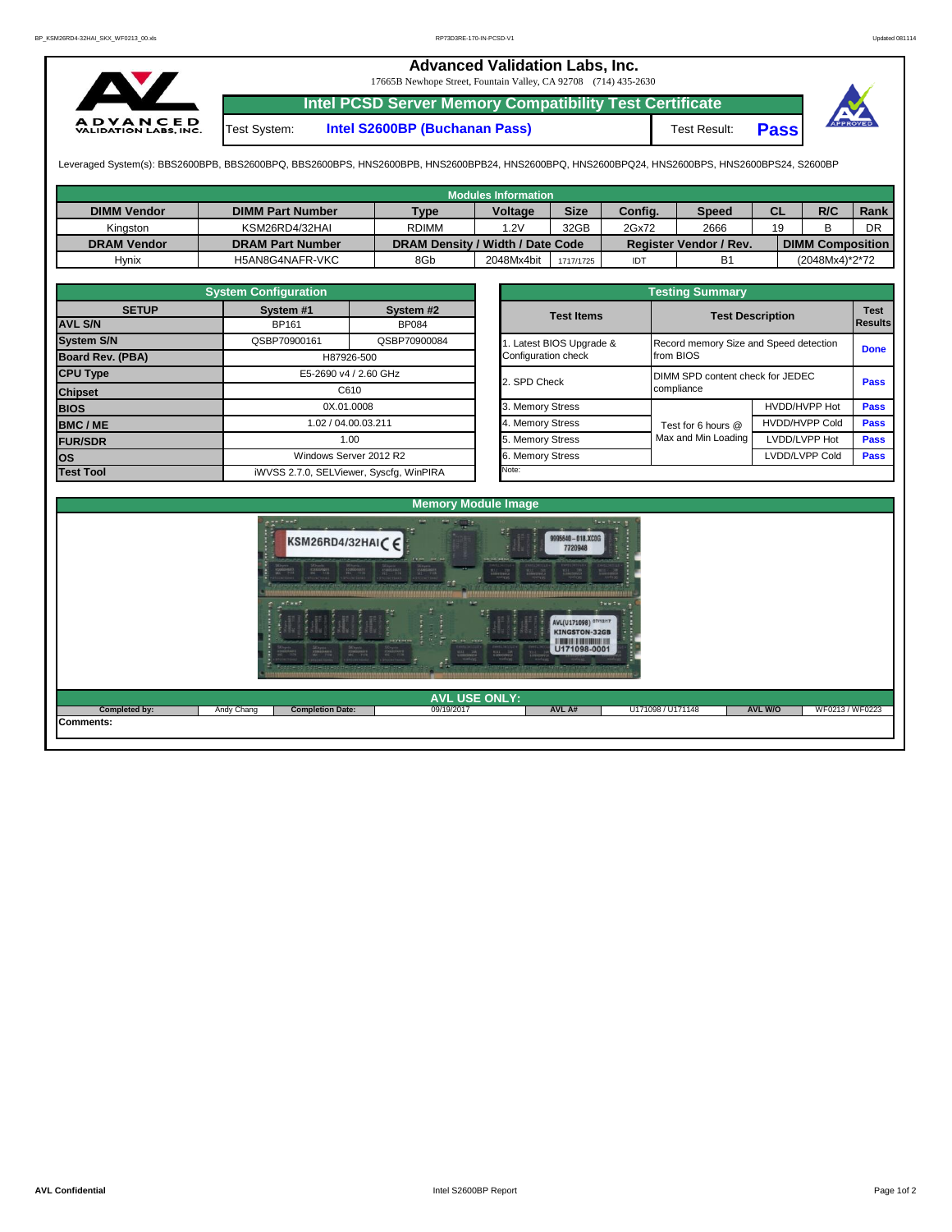## **Advanced Validation Labs, Inc.**  17665B Newhope Street, Fountain Valley, CA 92708 (714) 435-2630 **Intel PCSD Server Memory Compatibility Test Certificate A D V A N C E D**<br>VALIDATION LABS, INC. Test System: **Intel S2600BP (Buchanan Pass)** Test Result: **Pass**

Leveraged System(s): BBS2600BPB, BBS2600BPQ, BBS2600BPS, HNS2600BPB, HNS2600BPB24, HNS2600BPQ, HNS2600BPQ24, HNS2600BPS, HNS2600BPS24, S2600BP

|                    |                         |                                  | Modules Information |             |         |                               |           |                         |      |
|--------------------|-------------------------|----------------------------------|---------------------|-------------|---------|-------------------------------|-----------|-------------------------|------|
| <b>DIMM Vendor</b> | <b>DIMM Part Number</b> | <b>Type</b>                      | <b>Voltage</b>      | <b>Size</b> | Config. | <b>Speed</b>                  | <b>CL</b> | R/C                     | Rank |
| Kinaston           | KSM26RD4/32HAI          | <b>RDIMM</b>                     | 1.2V                | 32GB        | 2Gx72   | 2666                          | 19        |                         | DR   |
| <b>DRAM Vendor</b> | <b>DRAM Part Number</b> | DRAM Density / Width / Date Code |                     |             |         | <b>Register Vendor / Rev.</b> |           | <b>DIMM Composition</b> |      |
| Hynix              | H5AN8G4NAFR-VKC         | 8Gb                              | 2048Mx4bit          | 1717/1725   | IDT     | B <sub>1</sub>                |           | (2048Mx4)*2*72          |      |

|                         | <b>System Configuration</b> |                                         |                     |                       | <b>Testing Summary</b>                 |                         |                |  |
|-------------------------|-----------------------------|-----------------------------------------|---------------------|-----------------------|----------------------------------------|-------------------------|----------------|--|
| <b>SETUP</b>            | System #1                   | System #2                               |                     | <b>Test Items</b>     |                                        | <b>Test Description</b> | <b>Test</b>    |  |
| <b>AVL S/N</b>          | <b>BP161</b>                | <b>BP084</b>                            |                     |                       |                                        |                         | <b>Results</b> |  |
| <b>System S/N</b>       | QSBP70900161                | QSBP70900084                            |                     | Latest BIOS Upgrade & | Record memory Size and Speed detection |                         | <b>Done</b>    |  |
| <b>Board Rev. (PBA)</b> | H87926-500                  |                                         | Configuration check | from BIOS             |                                        |                         |                |  |
| <b>CPU Type</b>         |                             | E5-2690 v4 / 2.60 GHz                   |                     | 2. SPD Check          | DIMM SPD content check for JEDEC       | <b>Pass</b>             |                |  |
| <b>Chipset</b>          |                             | C610                                    |                     |                       | compliance                             |                         |                |  |
| <b>BIOS</b>             |                             | 0X.01.0008                              |                     | 3. Memory Stress      |                                        | HVDD/HVPP Hot           | <b>Pass</b>    |  |
| <b>BMC/ME</b>           |                             | 1.02 / 04.00.03.211                     |                     | 4. Memory Stress      | Test for 6 hours @                     | <b>HVDD/HVPP Cold</b>   | <b>Pass</b>    |  |
| <b>FUR/SDR</b>          | 1.00                        |                                         |                     | 5. Memory Stress      | Max and Min Loading                    | LVDD/LVPP Hot           | <b>Pass</b>    |  |
| <b>los</b>              |                             | Windows Server 2012 R2                  |                     | 6. Memory Stress      |                                        | LVDD/LVPP Cold          | <b>Pass</b>    |  |
| <b>Test Tool</b>        |                             | iWVSS 2.7.0, SELViewer, Syscfq, WinPIRA |                     | Note:                 |                                        |                         |                |  |

|                                                 | <b>Testing Summary</b>                              |                       |                               |
|-------------------------------------------------|-----------------------------------------------------|-----------------------|-------------------------------|
| <b>Test Items</b>                               | <b>Test Description</b>                             |                       | <b>Test</b><br><b>Results</b> |
| 1. Latest BIOS Upgrade &<br>Configuration check | Record memory Size and Speed detection<br>from BIOS |                       | <b>Done</b>                   |
| 2. SPD Check                                    | DIMM SPD content check for JEDEC<br>compliance      |                       | Pass                          |
| 3. Memory Stress                                |                                                     | HVDD/HVPP Hot         | Pass                          |
| 4. Memory Stress                                | Test for 6 hours @                                  | <b>HVDD/HVPP Cold</b> | Pass                          |
| 5. Memory Stress                                | Max and Min Loading                                 | LVDD/LVPP Hot         | Pass                          |
| 6. Memory Stress                                |                                                     | LVDD/LVPP Cold        | Pass                          |
| Note:                                           |                                                     |                       |                               |